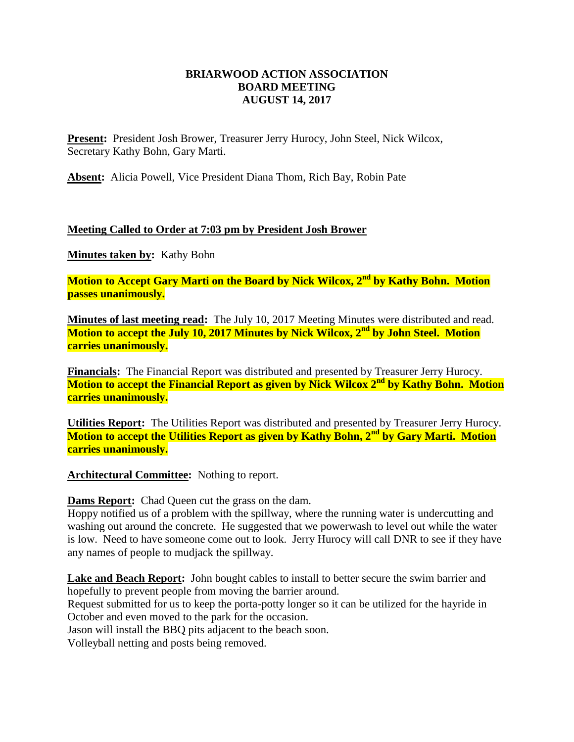## **BRIARWOOD ACTION ASSOCIATION BOARD MEETING AUGUST 14, 2017**

**Present:** President Josh Brower, Treasurer Jerry Hurocy, John Steel, Nick Wilcox, Secretary Kathy Bohn, Gary Marti.

**Absent:** Alicia Powell, Vice President Diana Thom, Rich Bay, Robin Pate

## **Meeting Called to Order at 7:03 pm by President Josh Brower**

**Minutes taken by:** Kathy Bohn

**Motion to Accept Gary Marti on the Board by Nick Wilcox, 2nd by Kathy Bohn. Motion passes unanimously.**

**Minutes of last meeting read:** The July 10, 2017 Meeting Minutes were distributed and read. **Motion to accept the July 10, 2017 Minutes by Nick Wilcox, 2nd by John Steel. Motion carries unanimously.**

**Financials:** The Financial Report was distributed and presented by Treasurer Jerry Hurocy. **Motion to accept the Financial Report as given by Nick Wilcox 2nd by Kathy Bohn. Motion carries unanimously.**

**Utilities Report:** The Utilities Report was distributed and presented by Treasurer Jerry Hurocy. **Motion to accept the Utilities Report as given by Kathy Bohn, 2nd by Gary Marti. Motion carries unanimously.**

**Architectural Committee:** Nothing to report.

**Dams Report:** Chad Queen cut the grass on the dam.

Hoppy notified us of a problem with the spillway, where the running water is undercutting and washing out around the concrete. He suggested that we powerwash to level out while the water is low. Need to have someone come out to look. Jerry Hurocy will call DNR to see if they have any names of people to mudjack the spillway.

Lake and Beach Report: John bought cables to install to better secure the swim barrier and hopefully to prevent people from moving the barrier around.

Request submitted for us to keep the porta-potty longer so it can be utilized for the hayride in October and even moved to the park for the occasion.

Jason will install the BBQ pits adjacent to the beach soon.

Volleyball netting and posts being removed.